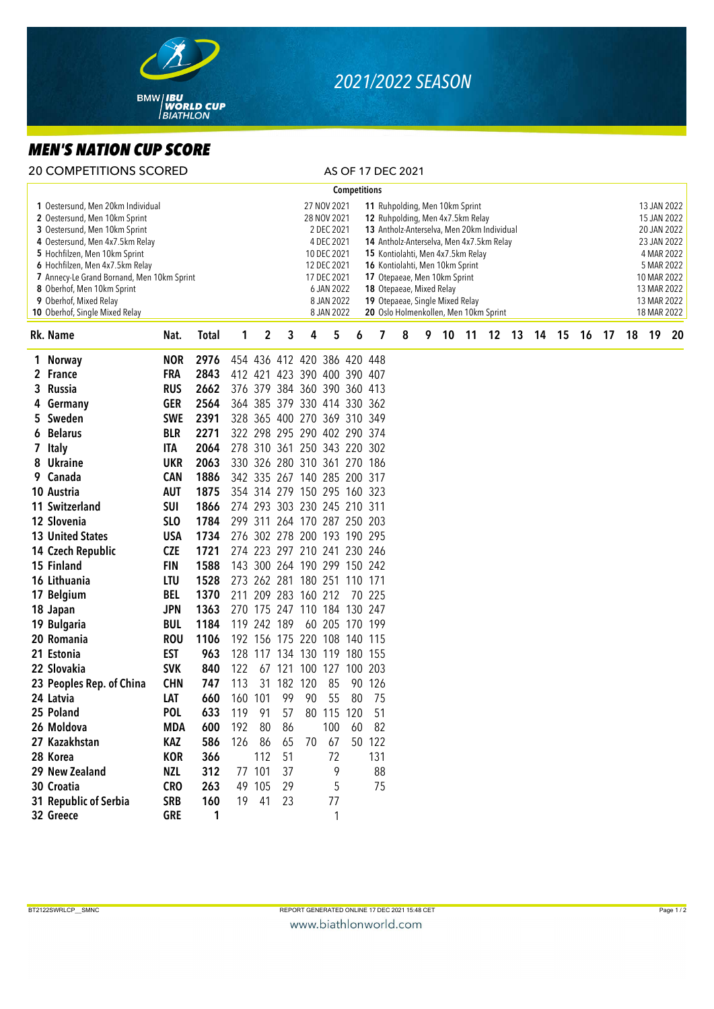

## *2021/2022 SEASON*

## *MEN'S NATION CUP SCORE*

| <b>20 COMPETITIONS SCORED</b> | AS OF 17 DEC 2021 |
|-------------------------------|-------------------|
|                               |                   |

|    | <b>Competitions</b><br>11 Ruhpolding, Men 10km Sprint            |                 |      |     |              |        |                             |                           |     |                                   |   |  |   |    |    |                                            |    |    |    |    |    |    |                            |  |
|----|------------------------------------------------------------------|-----------------|------|-----|--------------|--------|-----------------------------|---------------------------|-----|-----------------------------------|---|--|---|----|----|--------------------------------------------|----|----|----|----|----|----|----------------------------|--|
|    | 1 Oestersund, Men 20km Individual                                |                 |      |     |              |        |                             | 27 NOV 2021               |     |                                   |   |  |   |    |    |                                            |    |    |    |    |    |    | 13 JAN 2022                |  |
|    | 2 Oestersund, Men 10km Sprint                                    |                 |      |     |              |        |                             | 28 NOV 2021               |     | 12 Ruhpolding, Men 4x7.5km Relay  |   |  |   |    |    |                                            |    |    |    |    |    |    | 15 JAN 2022                |  |
|    | 3 Oestersund, Men 10km Sprint                                    |                 |      |     |              |        |                             | 2 DEC 2021                |     |                                   |   |  |   |    |    | 13 Antholz-Anterselva, Men 20km Individual |    |    |    |    |    |    | 20 JAN 2022                |  |
|    | 4 Oestersund, Men 4x7.5km Relay<br>5 Hochfilzen, Men 10km Sprint |                 |      |     |              |        |                             | 4 DEC 2021<br>10 DEC 2021 |     | 15 Kontiolahti, Men 4x7.5km Relay |   |  |   |    |    | 14 Antholz-Anterselva, Men 4x7.5km Relay   |    |    |    |    |    |    | 23 JAN 2022<br>4 MAR 2022  |  |
|    | 6 Hochfilzen, Men 4x7.5km Relay                                  |                 |      |     |              |        |                             | 12 DEC 2021               |     | 16 Kontiolahti, Men 10km Sprint   |   |  |   |    |    |                                            |    |    |    |    |    |    | 5 MAR 2022                 |  |
|    | 7 Annecy-Le Grand Bornand, Men 10km Sprint                       |                 |      |     |              |        |                             | 17 DEC 2021               |     | 17 Otepaeae, Men 10km Sprint      |   |  |   |    |    |                                            |    |    |    |    |    |    | 10 MAR 2022                |  |
|    | 8 Oberhof, Men 10km Sprint                                       |                 |      |     |              |        |                             | 6 JAN 2022                |     | 18 Otepaeae, Mixed Relay          |   |  |   |    |    |                                            |    |    |    |    |    |    | 13 MAR 2022                |  |
|    | 9 Oberhof, Mixed Relay<br>10 Oberhof, Single Mixed Relay         |                 |      |     |              |        |                             | 8 JAN 2022<br>8 JAN 2022  |     | 19 Otepaeae, Single Mixed Relay   |   |  |   |    |    | 20 Oslo Holmenkollen, Men 10km Sprint      |    |    |    |    |    |    | 13 MAR 2022<br>18 MAR 2022 |  |
|    | 1<br>Rk. Name<br><b>Total</b><br>Nat.                            |                 |      |     |              | 3      | 4                           | 5                         | 6   | 7                                 | 8 |  | 9 | 10 | 11 | 12                                         | 13 | 14 | 15 | 16 | 17 | 18 | 19 20                      |  |
|    | 1 Norway                                                         | <b>NOR</b>      | 2976 |     | $\mathbf{2}$ |        | 454 436 412 420 386 420 448 |                           |     |                                   |   |  |   |    |    |                                            |    |    |    |    |    |    |                            |  |
|    | 2 France                                                         | <b>FRA</b>      | 2843 |     |              |        | 412 421 423 390 400 390 407 |                           |     |                                   |   |  |   |    |    |                                            |    |    |    |    |    |    |                            |  |
| 3. | Russia                                                           | <b>RUS</b>      | 2662 |     |              |        | 376 379 384 360 390 360 413 |                           |     |                                   |   |  |   |    |    |                                            |    |    |    |    |    |    |                            |  |
|    | 4 Germany                                                        | <b>GER</b>      | 2564 |     |              |        | 364 385 379 330 414 330 362 |                           |     |                                   |   |  |   |    |    |                                            |    |    |    |    |    |    |                            |  |
|    | 5 Sweden                                                         | <b>SWE</b>      | 2391 |     |              |        | 328 365 400 270 369 310 349 |                           |     |                                   |   |  |   |    |    |                                            |    |    |    |    |    |    |                            |  |
|    | 6 Belarus                                                        | <b>BLR</b>      | 2271 |     |              |        | 322 298 295 290 402 290 374 |                           |     |                                   |   |  |   |    |    |                                            |    |    |    |    |    |    |                            |  |
|    | 7 Italy                                                          | <b>ITA</b>      | 2064 |     |              |        | 278 310 361 250 343 220 302 |                           |     |                                   |   |  |   |    |    |                                            |    |    |    |    |    |    |                            |  |
|    | 8 Ukraine                                                        | <b>UKR</b>      | 2063 |     |              |        | 330 326 280 310 361 270 186 |                           |     |                                   |   |  |   |    |    |                                            |    |    |    |    |    |    |                            |  |
|    | 9 Canada                                                         | <b>CAN</b>      | 1886 |     |              |        | 342 335 267 140 285 200 317 |                           |     |                                   |   |  |   |    |    |                                            |    |    |    |    |    |    |                            |  |
|    | 10 Austria                                                       | <b>AUT</b>      | 1875 |     |              |        | 354 314 279 150 295 160 323 |                           |     |                                   |   |  |   |    |    |                                            |    |    |    |    |    |    |                            |  |
|    | 11 Switzerland                                                   | <b>SUI</b>      | 1866 |     |              |        | 274 293 303 230 245 210 311 |                           |     |                                   |   |  |   |    |    |                                            |    |    |    |    |    |    |                            |  |
|    | 12 Slovenia                                                      | SL <sub>O</sub> | 1784 |     | 299 311      |        | 264 170 287 250 203         |                           |     |                                   |   |  |   |    |    |                                            |    |    |    |    |    |    |                            |  |
|    | <b>13 United States</b>                                          | <b>USA</b>      | 1734 |     |              |        | 276 302 278 200 193 190 295 |                           |     |                                   |   |  |   |    |    |                                            |    |    |    |    |    |    |                            |  |
|    | 14 Czech Republic                                                | <b>CZE</b>      | 1721 |     |              |        | 274 223 297 210 241 230 246 |                           |     |                                   |   |  |   |    |    |                                            |    |    |    |    |    |    |                            |  |
|    | 15 Finland                                                       | <b>FIN</b>      | 1588 |     |              |        | 143 300 264 190 299 150 242 |                           |     |                                   |   |  |   |    |    |                                            |    |    |    |    |    |    |                            |  |
|    | 16 Lithuania                                                     | <b>LTU</b>      | 1528 |     |              |        | 273 262 281 180 251 110 171 |                           |     |                                   |   |  |   |    |    |                                            |    |    |    |    |    |    |                            |  |
|    | 17 Belgium                                                       | <b>BEL</b>      | 1370 |     |              |        | 211 209 283 160 212         |                           |     | 70 225                            |   |  |   |    |    |                                            |    |    |    |    |    |    |                            |  |
|    | 18 Japan                                                         | <b>JPN</b>      | 1363 |     |              |        | 270 175 247 110 184 130 247 |                           |     |                                   |   |  |   |    |    |                                            |    |    |    |    |    |    |                            |  |
|    | 19 Bulgaria                                                      | <b>BUL</b>      | 1184 |     | 119 242 189  |        |                             | 60 205 170 199            |     |                                   |   |  |   |    |    |                                            |    |    |    |    |    |    |                            |  |
|    | 20 Romania                                                       | <b>ROU</b>      | 1106 |     |              |        | 192 156 175 220 108 140 115 |                           |     |                                   |   |  |   |    |    |                                            |    |    |    |    |    |    |                            |  |
|    | 21 Estonia                                                       | <b>EST</b>      | 963  |     |              |        | 128 117 134 130 119 180 155 |                           |     |                                   |   |  |   |    |    |                                            |    |    |    |    |    |    |                            |  |
|    | 22 Slovakia                                                      | <b>SVK</b>      | 840  | 122 |              | 67 121 | 100                         | 127                       | 100 | 203                               |   |  |   |    |    |                                            |    |    |    |    |    |    |                            |  |
|    | 23 Peoples Rep. of China                                         | <b>CHN</b>      | 747  | 113 | 31           | 182    | 120                         | 85                        | 90  | 126                               |   |  |   |    |    |                                            |    |    |    |    |    |    |                            |  |
|    | 24 Latvia                                                        | LAT             | 660  | 160 | 101          | 99     | 90                          | 55                        | 80  | 75                                |   |  |   |    |    |                                            |    |    |    |    |    |    |                            |  |
|    | 25 Poland                                                        | <b>POL</b>      | 633  | 119 | 91           | 57     | 80                          | 115 120                   |     | 51                                |   |  |   |    |    |                                            |    |    |    |    |    |    |                            |  |
|    | 26 Moldova                                                       | MDA             | 600  | 192 | 80           | 86     |                             | 100                       | 60  | 82                                |   |  |   |    |    |                                            |    |    |    |    |    |    |                            |  |
|    | 27 Kazakhstan                                                    | KAZ             | 586  | 126 | 86           | 65     | 70                          | 67                        |     | 50 122                            |   |  |   |    |    |                                            |    |    |    |    |    |    |                            |  |
|    | 28 Korea                                                         | <b>KOR</b>      | 366  |     | 112          | 51     |                             | 72                        |     | 131                               |   |  |   |    |    |                                            |    |    |    |    |    |    |                            |  |
|    | 29 New Zealand                                                   | NZL             | 312  |     | 77 101       | 37     |                             | 9                         |     | 88                                |   |  |   |    |    |                                            |    |    |    |    |    |    |                            |  |
|    | 30 Croatia                                                       | <b>CRO</b>      | 263  |     | 49 105       | 29     |                             | 5                         |     | 75                                |   |  |   |    |    |                                            |    |    |    |    |    |    |                            |  |
|    | 31 Republic of Serbia                                            | <b>SRB</b>      | 160  | 19  | 41           | 23     |                             | 77                        |     |                                   |   |  |   |    |    |                                            |    |    |    |    |    |    |                            |  |
|    | 32 Greece                                                        | <b>GRE</b>      | 1    |     |              |        |                             | 1                         |     |                                   |   |  |   |    |    |                                            |    |    |    |    |    |    |                            |  |